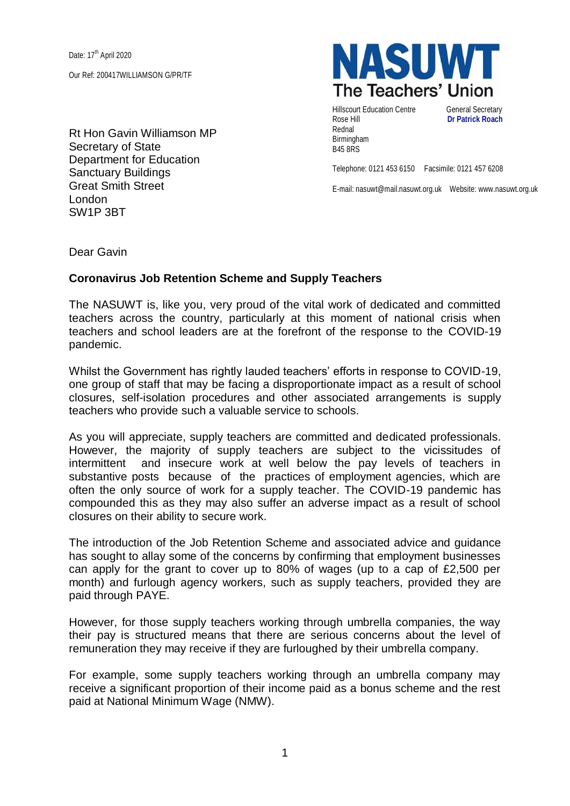Date: 17<sup>th</sup> April 2020 Our Ref: 200417WILLIAMSON G/PR/TF

Rt Hon Gavin Williamson MP Secretary of State Department for Education Sanctuary Buildings Great Smith Street London SW1P 3BT



Hillscourt Education Centre **General Secretary** Rose Hill **Dr Patrick Roach** Rednal Birmingham B45 8RS

Telephone: 0121 453 6150 Facsimile: 0121 457 6208

E-mail: nasuwt@mail.nasuwt.org.uk Website: www.nasuwt.org.uk

Dear Gavin

## **Coronavirus Job Retention Scheme and Supply Teachers**

The NASUWT is, like you, very proud of the vital work of dedicated and committed teachers across the country, particularly at this moment of national crisis when teachers and school leaders are at the forefront of the response to the COVID-19 pandemic.

Whilst the Government has rightly lauded teachers' efforts in response to COVID-19, one group of staff that may be facing a disproportionate impact as a result of school closures, self-isolation procedures and other associated arrangements is supply teachers who provide such a valuable service to schools.

As you will appreciate, supply teachers are committed and dedicated professionals. However, the majority of supply teachers are subject to the vicissitudes of intermittent and insecure work at well below the pay levels of teachers in substantive posts because of the practices of employment agencies, which are often the only source of work for a supply teacher. The COVID-19 pandemic has compounded this as they may also suffer an adverse impact as a result of school closures on their ability to secure work.

The introduction of the Job Retention Scheme and associated advice and guidance has sought to allay some of the concerns by confirming that employment businesses can apply for the grant to cover up to 80% of wages (up to a cap of £2,500 per month) and furlough agency workers, such as supply teachers, provided they are paid through PAYE.

However, for those supply teachers working through umbrella companies, the way their pay is structured means that there are serious concerns about the level of remuneration they may receive if they are furloughed by their umbrella company.

For example, some supply teachers working through an umbrella company may receive a significant proportion of their income paid as a bonus scheme and the rest paid at National Minimum Wage (NMW).